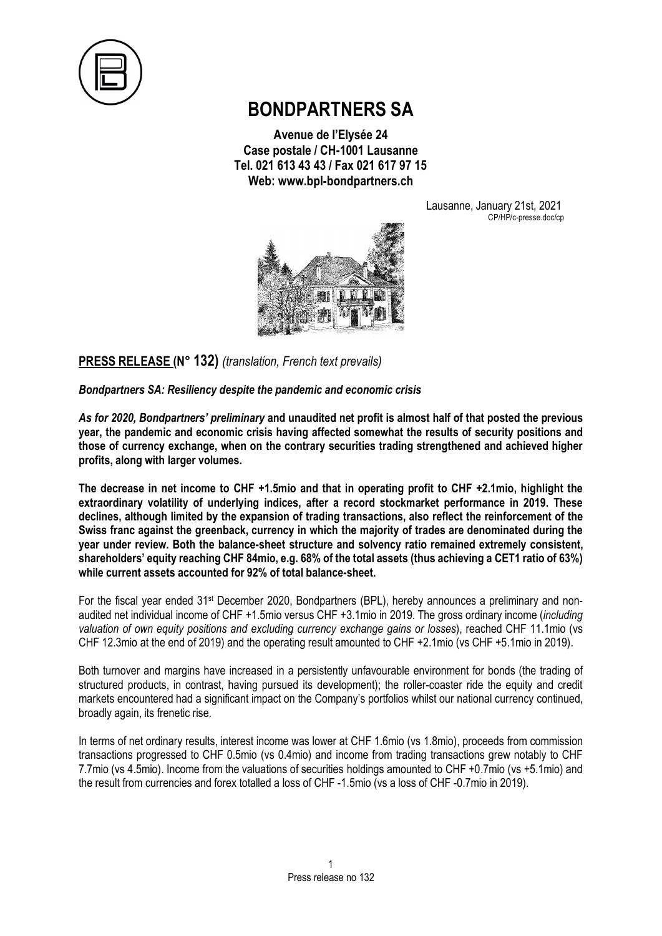

## **BONDPARTNERS SA**

**Avenue de l'Elysée 24 Case postale / CH-1001 Lausanne Tel. 021 613 43 43 / Fax 021 617 97 15 Web: www.bpl-bondpartners.ch**

Lausanne, January 21st, 2021 CP/HP/c-presse.doc/cp



**PRESS RELEASE (N° 132)** *(translation, French text prevails)*

*Bondpartners SA: Resiliency despite the pandemic and economic crisis*

*As for 2020, Bondpartners' preliminary* **and unaudited net profit is almost half of that posted the previous year, the pandemic and economic crisis having affected somewhat the results of security positions and those of currency exchange, when on the contrary securities trading strengthened and achieved higher profits, along with larger volumes.**

**The decrease in net income to CHF +1.5mio and that in operating profit to CHF +2.1mio, highlight the extraordinary volatility of underlying indices, after a record stockmarket performance in 2019. These declines, although limited by the expansion of trading transactions, also reflect the reinforcement of the Swiss franc against the greenback, currency in which the majority of trades are denominated during the year under review. Both the balance-sheet structure and solvency ratio remained extremely consistent, shareholders' equity reaching CHF 84mio, e.g. 68% of the total assets (thus achieving a CET1 ratio of 63%) while current assets accounted for 92% of total balance-sheet.**

For the fiscal year ended 31st December 2020, Bondpartners (BPL), hereby announces a preliminary and nonaudited net individual income of CHF +1.5mio versus CHF +3.1mio in 2019. The gross ordinary income (*including valuation of own equity positions and excluding currency exchange gains or losses*), reached CHF 11.1mio (vs CHF 12.3mio at the end of 2019) and the operating result amounted to CHF +2.1mio (vs CHF +5.1mio in 2019).

Both turnover and margins have increased in a persistently unfavourable environment for bonds (the trading of structured products, in contrast, having pursued its development); the roller-coaster ride the equity and credit markets encountered had a significant impact on the Company's portfolios whilst our national currency continued, broadly again, its frenetic rise.

In terms of net ordinary results, interest income was lower at CHF 1.6mio (vs 1.8mio), proceeds from commission transactions progressed to CHF 0.5mio (vs 0.4mio) and income from trading transactions grew notably to CHF 7.7mio (vs 4.5mio). Income from the valuations of securities holdings amounted to CHF +0.7mio (vs +5.1mio) and the result from currencies and forex totalled a loss of CHF -1.5mio (vs a loss of CHF -0.7mio in 2019).